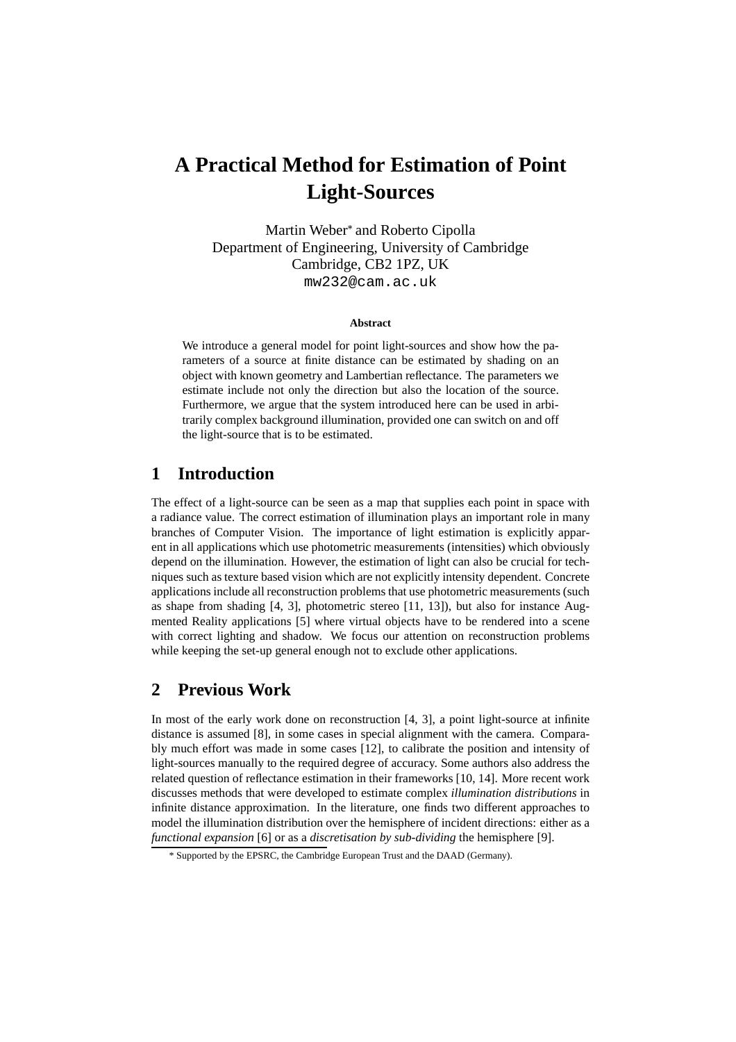# **A Practical Method for Estimation of Point Light-Sources**

Martin Weber<sup>\*</sup> and Roberto Cipolla Department of Engineering, University of Cambridge Cambridge, CB2 1PZ, UK mw232@cam.ac.uk

#### **Abstract**

We introduce a general model for point light-sources and show how the parameters of a source at finite distance can be estimated by shading on an object with known geometry and Lambertian reflectance. The parameters we estimate include not only the direction but also the location of the source. Furthermore, we argue that the system introduced here can be used in arbitrarily complex background illumination, provided one can switch on and off the light-source that is to be estimated.

# **1 Introduction**

The effect of a light-source can be seen as a map that supplies each point in space with a radiance value. The correct estimation of illumination plays an important role in many branches of Computer Vision. The importance of light estimation is explicitly apparent in all applications which use photometric measurements (intensities) which obviously depend on the illumination. However, the estimation of light can also be crucial for techniques such as texture based vision which are not explicitly intensity dependent. Concrete applications include all reconstruction problems that use photometric measurements (such as shape from shading  $[4, 3]$ , photometric stereo  $[11, 13]$ ), but also for instance Augmented Reality applications [5] where virtual objects have to be rendered into a scene with correct lighting and shadow. We focus our attention on reconstruction problems while keeping the set-up general enough not to exclude other applications.

# **2 Previous Work**

In most of the early work done on reconstruction [4, 3], a point light-source at infinite distance is assumed [8], in some cases in special alignment with the camera. Comparably much effort was made in some cases [12], to calibrate the position and intensity of light-sources manually to the required degree of accuracy. Some authors also address the related question of reflectance estimation in their frameworks [10, 14]. More recent work discusses methods that were developed to estimate complex *illumination distributions* in infinite distance approximation. In the literature, one finds two different approaches to model the illumination distribution over the hemisphere of incident directions: either as a *functional expansion* [6] or as a *discretisation by sub-dividing* the hemisphere [9].

<sup>\*</sup> Supported by the EPSRC, the Cambridge European Trust and the DAAD (Germany).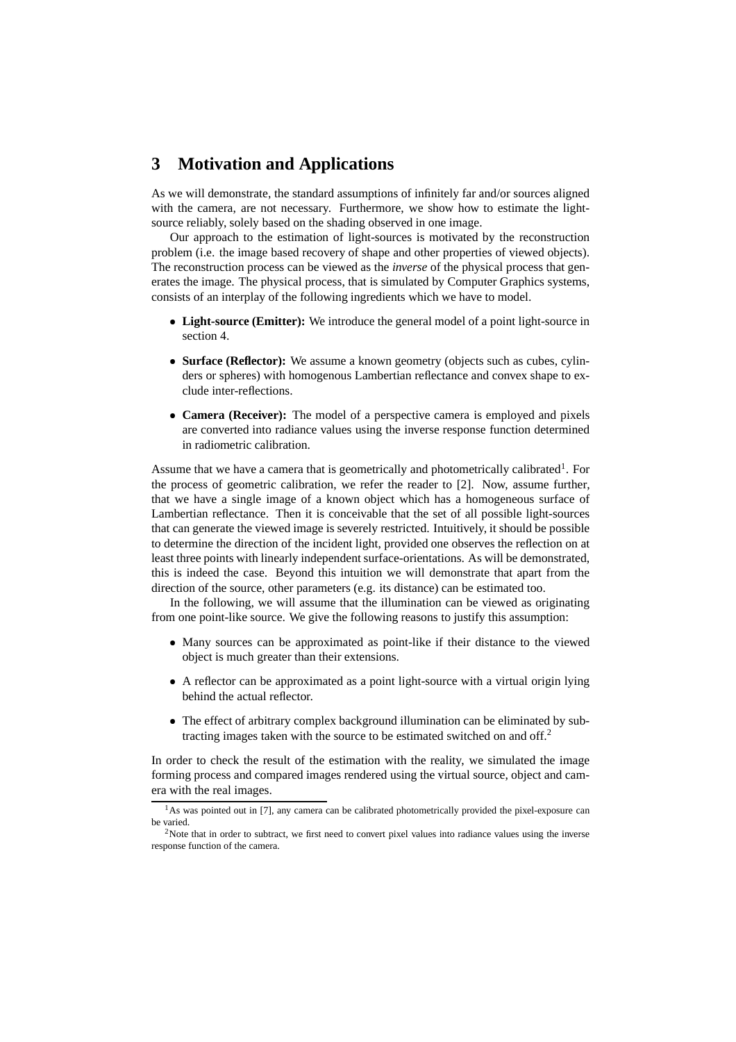# **3 Motivation and Applications**

As we will demonstrate, the standard assumptions of infinitely far and/or sources aligned with the camera, are not necessary. Furthermore, we show how to estimate the lightsource reliably, solely based on the shading observed in one image.

Our approach to the estimation of light-sources is motivated by the reconstruction problem (i.e. the image based recovery of shape and other properties of viewed objects). The reconstruction process can be viewed as the *inverse* of the physical process that generates the image. The physical process, that is simulated by Computer Graphics systems, consists of an interplay of the following ingredients which we have to model.

- **Light-source (Emitter):** We introduce the general model of a point light-source in section 4.
- **Surface (Reflector):** We assume a known geometry (objects such as cubes, cylinders or spheres) with homogenous Lambertian reflectance and convex shape to exclude inter-reflections.
- **Camera (Receiver):** The model of a perspective camera is employed and pixels are converted into radiance values using the inverse response function determined in radiometric calibration.

Assume that we have a camera that is geometrically and photometrically calibrated<sup>1</sup>. For the process of geometric calibration, we refer the reader to [2]. Now, assume further, that we have a single image of a known object which has a homogeneous surface of Lambertian reflectance. Then it is conceivable that the set of all possible light-sources that can generate the viewed image is severely restricted. Intuitively, it should be possible to determine the direction of the incident light, provided one observes the reflection on at least three points with linearly independent surface-orientations. As will be demonstrated, this is indeed the case. Beyond this intuition we will demonstrate that apart from the direction of the source, other parameters (e.g. its distance) can be estimated too.

In the following, we will assume that the illumination can be viewed as originating from one point-like source. We give the following reasons to justify this assumption:

- Many sources can be approximated as point-like if their distance to the viewed object is much greater than their extensions.
- A reflector can be approximated as a point light-source with a virtual origin lying behind the actual reflector.
- The effect of arbitrary complex background illumination can be eliminated by subtracting images taken with the source to be estimated switched on and off.<sup>2</sup>

In order to check the result of the estimation with the reality, we simulated the image forming process and compared images rendered using the virtual source, object and camera with the real images.

<sup>&</sup>lt;sup>1</sup>As was pointed out in [7], any camera can be calibrated photometrically provided the pixel-exposure can be varied.

 $2$ Note that in order to subtract, we first need to convert pixel values into radiance values using the inverse response function of the camera.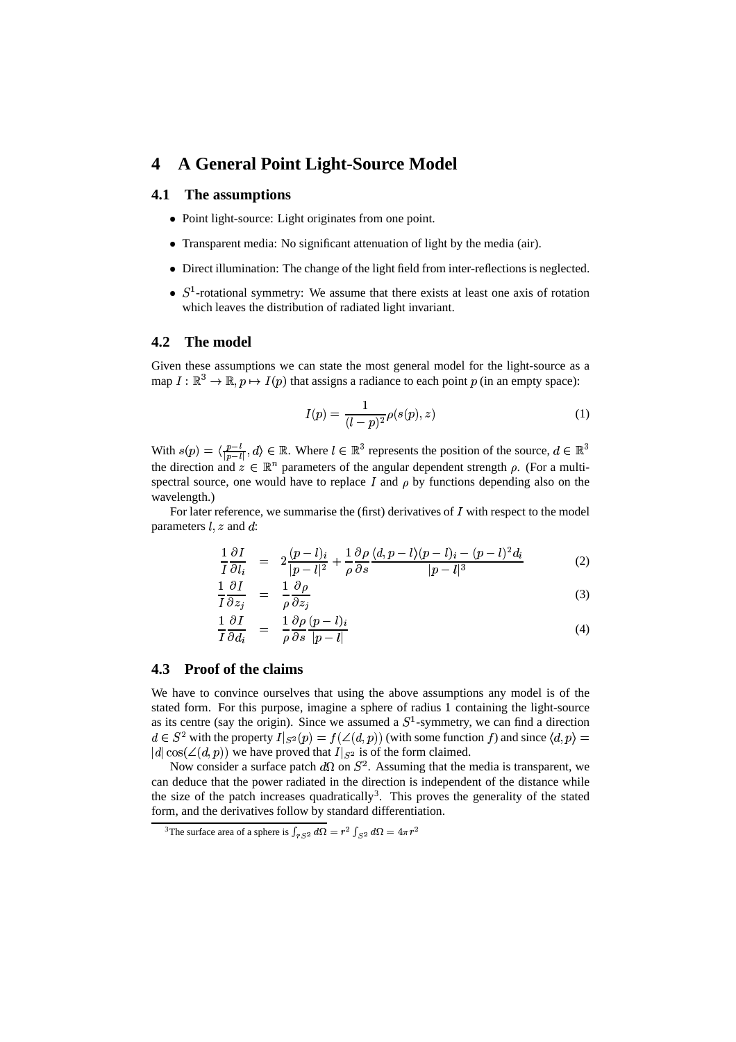# **4 A General Point Light-Source Model**

#### **4.1 The assumptions**

- Point light-source: Light originates from one point.
- Transparent media: No significant attenuation of light by the media (air).
- Direct illumination: The change of the light field from inter-reflections is neglected.
- $S<sup>1</sup>$ -rotational symmetry: We assume that there exists at least one axis of rotation which leaves the distribution of radiated light invariant.

### **4.2 The model**

Given these assumptions we can state the most general model for the light-source as a map  $I: \mathbb{R}^3 \to \mathbb{R}, p \mapsto I(p)$  that assigns a radiance to each point p (in an empty space):

$$
I(p) = \frac{1}{(l-p)^2} \rho(s(p), z)
$$
 (1)

With  $s(p) = \langle \frac{p-l}{\ln n}, d \rangle \in \mathbb{R}$ . Where  $l \in \mathbb{R}^3$  represents the position of the source,  $d \in \mathbb{R}^3$ the direction and  $z \in \mathbb{R}^n$  parameters of the angular dependent strength  $\rho$ . (For a multispectral source, one would have to replace  $I$  and  $\rho$  by functions depending also on the wavelength.)

For later reference, we summarise the (first) derivatives of  $I$  with respect to the model parameters  $l, z$  and  $d$ :

$$
\frac{1}{I}\frac{\partial I}{\partial l_i} = 2\frac{(p-l)_i}{|p-l|^2} + \frac{1}{\rho}\frac{\partial \rho}{\partial s}\frac{\langle d, p-l\rangle (p-l)_i - (p-l)^2 d_i}{|p-l|^3}
$$
(2)

$$
\frac{1}{I}\frac{\partial I}{\partial z_i} = \frac{1}{\rho}\frac{\partial \rho}{\partial z_i} \tag{3}
$$

$$
\frac{1}{I}\frac{\partial I}{\partial d_i} = \frac{1}{\rho}\frac{\partial \rho}{\partial s}\frac{(p-l)_i}{|p-l|} \tag{4}
$$

### **4.3 Proof of the claims**

We have to convince ourselves that using the above assumptions any model is of the stated form. For this purpose, imagine a sphere of radius 1 containing the light-source as its centre (say the origin). Since we assumed a  $S<sup>1</sup>$ -symmetry, we can find a direction  $d \in S^2$  with the property  $I|_{S^2}(p) = f(\angle(d,p))$  (with some function f) and since  $\langle d, p \rangle =$  $|d| \cos(\angle (d, p))$  we have proved that  $I|_{S^2}$  is of the form claimed.

Now consider a surface patch  $d\Omega$  on  $S^2$ . Assuming that the media is transparent, we can deduce that the power radiated in the direction is independent of the distance while the size of the patch increases quadratically<sup>3</sup>. This proves the generality of the stated form, and the derivatives follow by standard differentiation.

<sup>&</sup>lt;sup>3</sup>The surface area of a sphere is  $\int_{rS^2} d\Omega = r^2\int_{S^2} d\Omega = 4\pi r^2$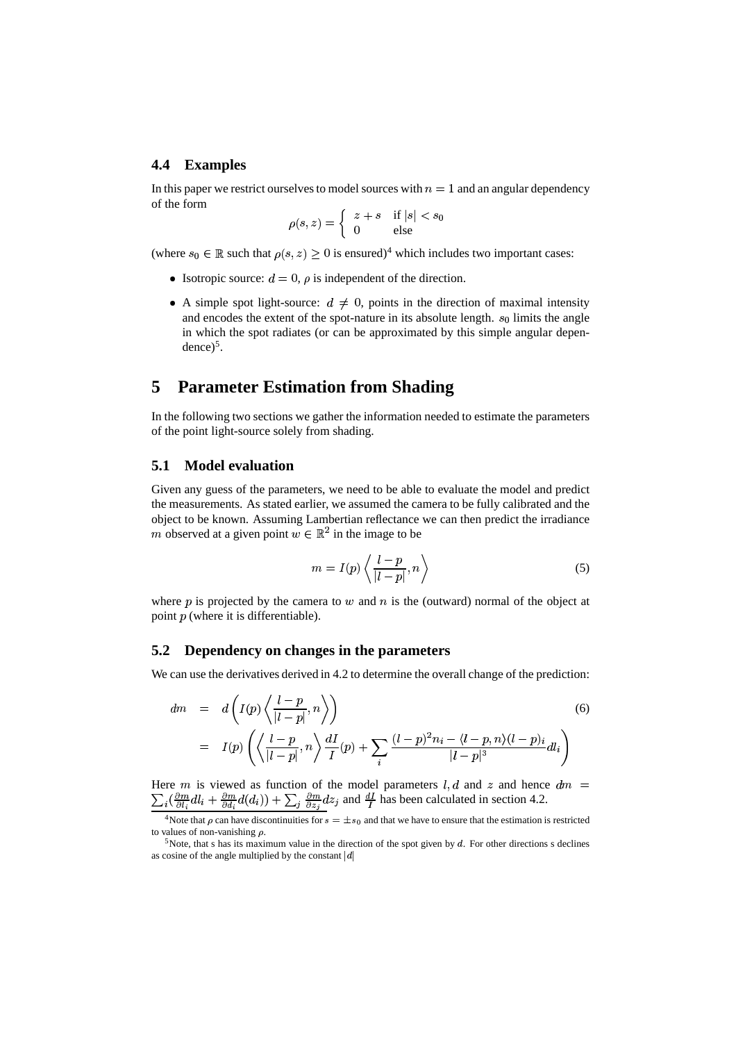#### **4.4 Examples**

In this paper we restrict ourselves to model sources with  $n = 1$  and an angular dependency of the form

$$
\rho(s, z) = \begin{cases} z + s & \text{if } |s| < s_0 \\ 0 & \text{else} \end{cases}
$$

(where  $s_0 \in \mathbb{R}$  such that  $\rho(s, z) \geq 0$  is ensured)<sup>4</sup> which includes two important cases:

- Isotropic source:  $d = 0$ ,  $\rho$  is independent of the direction.
- A simple spot light-source:  $d \neq 0$ , points in the direction of maximal intensity and encodes the extent of the spot-nature in its absolute length.  $s_0$  limits the angle in which the spot radiates (or can be approximated by this simple angular dependence $)^5$ .

# **5 Parameter Estimation from Shading**

In the following two sections we gather the information needed to estimate the parameters of the point light-source solely from shading.

### **5.1 Model evaluation**

Given any guess of the parameters, we need to be able to evaluate the model and predict the measurements. As stated earlier, we assumed the camera to be fully calibrated and the object to be known. Assuming Lambertian reflectance we can then predict the irradiance m observed at a given point  $w \in \mathbb{R}^2$  in the image to be

$$
m = I(p) \left\langle \frac{l-p}{|l-p|}, n \right\rangle \tag{5}
$$

where  $p$  is projected by the camera to  $w$  and  $n$  is the (outward) normal of the object at point  $p$  (where it is differentiable).

#### **5.2 Dependency on changes in the parameters**

We can use the derivatives derived in 4.2 to determine the overall change of the prediction:

$$
dm = d\left(I(p)\left\langle\frac{l-p}{|l-p|}, n\right\rangle\right)
$$
\n
$$
= I(p)\left(\left\langle\frac{l-p}{|l-p|}, n\right\rangle\frac{dI}{I}(p) + \sum_{i}\frac{(l-p)^2n_i - \langle l-p, n\rangle(l-p)_i}{|l-p|^3}dl_i\right)
$$
\n(6)

Here m is viewed as function of the model parameters l, d and z and hence  $dm =$  $\frac{1}{2}$  .  $\frac{1}{2}$  .  $\frac{1}{2}$  .  $\frac{1}{2}$  .  $\frac{1}{2}$  .  $\frac{1}{2}$  .  $\frac{1}{2}$  .  $\frac{1}{2}$  .  $\frac{1}{2}$  .  $\frac{1}{2}$  .  $\frac{1}{2}$  .  $\frac{1}{2}$  .  $\frac{1}{2}$  .  $\frac{1}{2}$  .  $\frac{1}{2}$  .  $\frac{1}{2}$  .  $\frac{1}{2}$  .  $\frac{1}{2}$  .  $\frac{1$  $\frac{1}{2}(\frac{\partial m}{\partial l_i}dl_i + \frac{\partial m}{\partial d_i}d(d_i)) + \sum_j \frac{\partial m}{\partial z_j}dz_j$  and  $\frac{dI}{I}$  has been calculated in section 4.2.

<sup>&</sup>lt;sup>4</sup>Note that  $\rho$  can have discontinuities for  $s = \pm s_0$  and that we have to ensure that the estimation is restricted to values of non-vanishing  $\rho$ .

 $5$ Note, that s has its maximum value in the direction of the spot given by  $d$ . For other directions s declines as cosine of the angle multiplied by the constant  $|d|$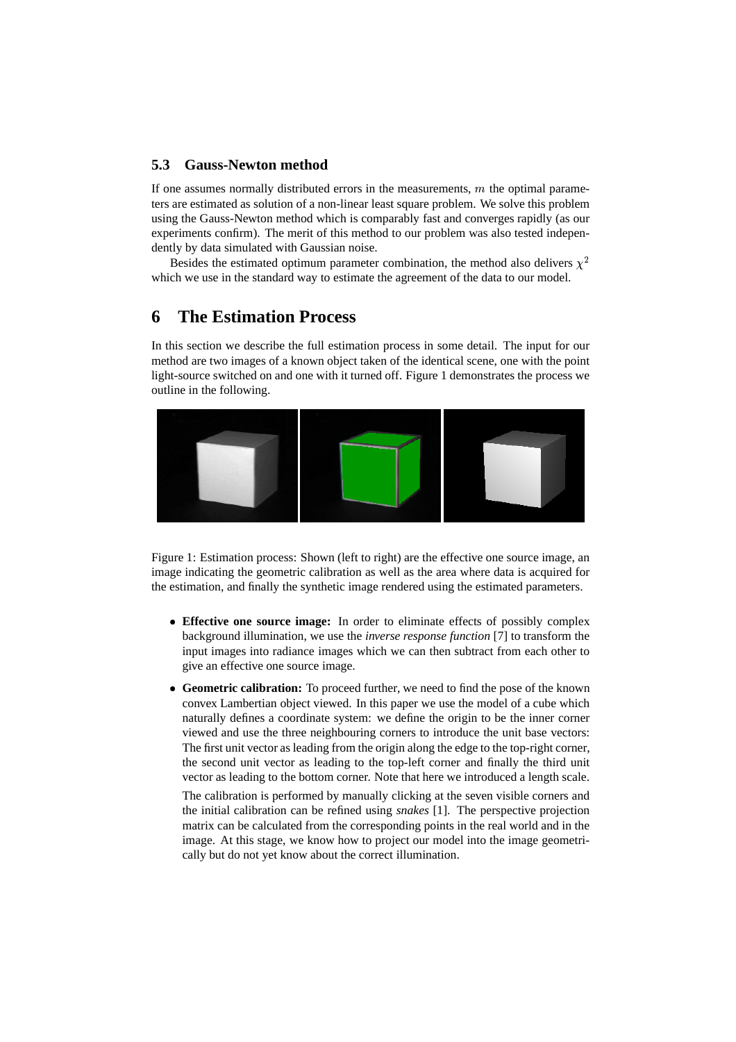### **5.3 Gauss-Newton method**

If one assumes normally distributed errors in the measurements,  $m$  the optimal parameters are estimated as solution of a non-linear least square problem. We solve this problem using the Gauss-Newton method which is comparably fast and converges rapidly (as our experiments confirm). The merit of this method to our problem was also tested independently by data simulated with Gaussian noise.

Besides the estimated optimum parameter combination, the method also delivers  $\chi^2$ which we use in the standard way to estimate the agreement of the data to our model.

# **6 The Estimation Process**

In this section we describe the full estimation process in some detail. The input for our method are two images of a known object taken of the identical scene, one with the point light-source switched on and one with it turned off. Figure 1 demonstrates the process we outline in the following.



Figure 1: Estimation process: Shown (left to right) are the effective one source image, an image indicating the geometric calibration as well as the area where data is acquired for the estimation, and finally the synthetic image rendered using the estimated parameters.

- **Effective one source image:** In order to eliminate effects of possibly complex background illumination, we use the *inverse response function* [7] to transform the input images into radiance images which we can then subtract from each other to give an effective one source image.
- **Geometric calibration:** To proceed further, we need to find the pose of the known convex Lambertian object viewed. In this paper we use the model of a cube which naturally defines a coordinate system: we define the origin to be the inner corner viewed and use the three neighbouring corners to introduce the unit base vectors: The first unit vector as leading from the origin along the edge to the top-right corner, the second unit vector as leading to the top-left corner and finally the third unit vector as leading to the bottom corner. Note that here we introduced a length scale.

The calibration is performed by manually clicking at the seven visible corners and the initial calibration can be refined using *snakes* [1]. The perspective projection matrix can be calculated from the corresponding points in the real world and in the image. At this stage, we know how to project our model into the image geometrically but do not yet know about the correct illumination.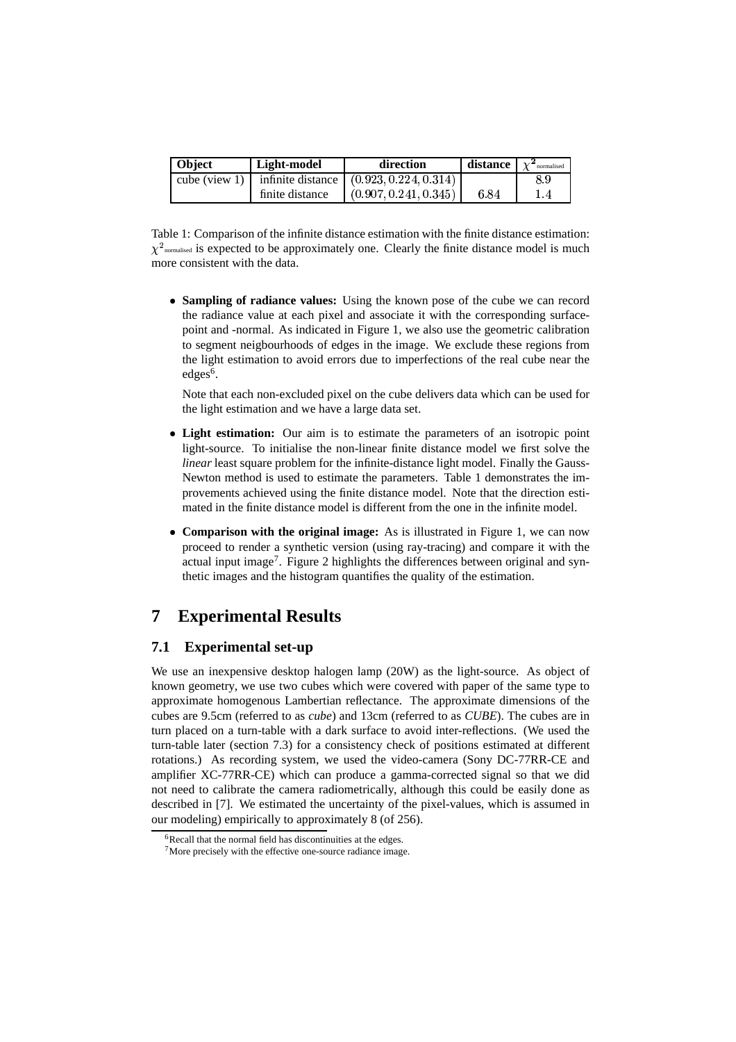| <b>Object</b>         | Light-model     | direction                                 | distance | $\chi^2$ normalised |
|-----------------------|-----------------|-------------------------------------------|----------|---------------------|
| cube (view 1) $\vert$ |                 | infinite distance $(0.923, 0.224, 0.314)$ |          | 8.9                 |
|                       | finite distance | (0.907, 0.241, 0.345)                     | 6.84     | 1.4                 |

Table 1: Comparison of the infinite distance estimation with the finite distance estimation:  $\chi^2$ <sub>normalised</sub> is expected to be approximately one. Clearly the finite distance model is much more consistent with the data.

 **Sampling of radiance values:** Using the known pose of the cube we can record the radiance value at each pixel and associate it with the corresponding surfacepoint and -normal. As indicated in Figure 1, we also use the geometric calibration to segment neigbourhoods of edges in the image. We exclude these regions from the light estimation to avoid errors due to imperfections of the real cube near the edges<sup>6</sup>.

Note that each non-excluded pixel on the cube delivers data which can be used for the light estimation and we have a large data set.

- **Light estimation:** Our aim is to estimate the parameters of an isotropic point light-source. To initialise the non-linear finite distance model we first solve the *linear* least square problem for the infinite-distance light model. Finally the Gauss-Newton method is used to estimate the parameters. Table 1 demonstrates the improvements achieved using the finite distance model. Note that the direction estimated in the finite distance model is different from the one in the infinite model.
- **Comparison with the original image:** As is illustrated in Figure 1, we can now proceed to render a synthetic version (using ray-tracing) and compare it with the actual input image<sup>7</sup>. Figure 2 highlights the differences between original and synthetic images and the histogram quantifies the quality of the estimation.

# **7 Experimental Results**

### **7.1 Experimental set-up**

We use an inexpensive desktop halogen lamp (20W) as the light-source. As object of known geometry, we use two cubes which were covered with paper of the same type to approximate homogenous Lambertian reflectance. The approximate dimensions of the cubes are 9.5cm (referred to as *cube*) and 13cm (referred to as *CUBE*). The cubes are in turn placed on a turn-table with a dark surface to avoid inter-reflections. (We used the turn-table later (section 7.3) for a consistency check of positions estimated at different rotations.) As recording system, we used the video-camera (Sony DC-77RR-CE and amplifier XC-77RR-CE) which can produce a gamma-corrected signal so that we did not need to calibrate the camera radiometrically, although this could be easily done as described in [7]. We estimated the uncertainty of the pixel-values, which is assumed in our modeling) empirically to approximately 8 (of 256).

 $6R$ ecall that the normal field has discontinuities at the edges.

<sup>7</sup>More precisely with the effective one-source radiance image.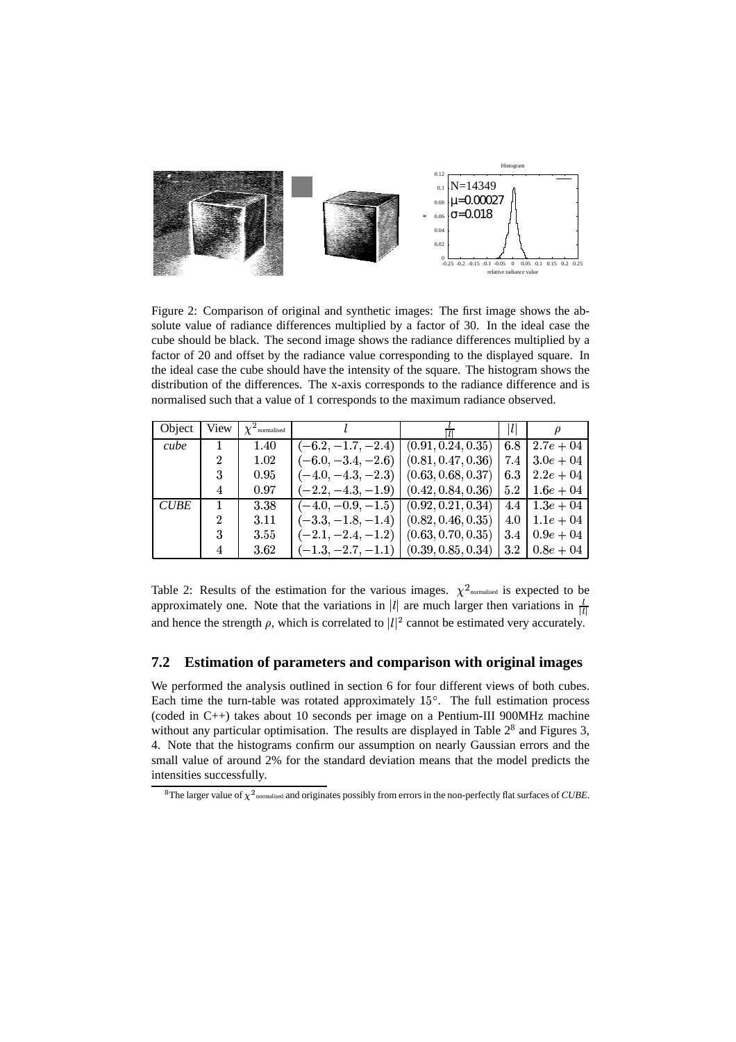

Figure 2: Comparison of original and synthetic images: The first image shows the absolute value of radiance differences multiplied by a factor of 30. In the ideal case the cube should be black. The second image shows the radiance differences multiplied by a factor of 20 and offset by the radiance value corresponding to the displayed square. In the ideal case the cube should have the intensity of the square. The histogram shows the distribution of the differences. The x-axis corresponds to the radiance difference and is normalised such that a value of 1 corresponds to the maximum radiance observed.

| Object      | View | $\chi^2$ normalised |                      |                    | ı   |              |
|-------------|------|---------------------|----------------------|--------------------|-----|--------------|
| cube        |      | 1.40                | $(-6.2, -1.7, -2.4)$ | (0.91, 0.24, 0.35) | 6.8 | $2.7e + 04$  |
|             |      | 1.02                | $(-6.0, -3.4, -2.6)$ | (0.81, 0.47, 0.36) | 7.4 | $3.0e + 04$  |
|             |      | 0.95                | $(-4.0, -4.3, -2.3)$ | (0.63, 0.68, 0.37) | 6.3 | $2.2e + 0.4$ |
|             | 4    | 0.97                | $(-2.2, -4.3, -1.9)$ | (0.42, 0.84, 0.36) | 5.2 | $1.6e + 0.4$ |
| <b>CUBE</b> |      | 3.38                | $(-4.0, -0.9, -1.5)$ | (0.92, 0.21, 0.34) | 4.4 | $1.3e + 0.4$ |
|             | 2    | 3.11                | $(-3.3, -1.8, -1.4)$ | (0.82, 0.46, 0.35) | 4.0 | $1.1e + 0.4$ |
|             |      | 3.55                | $(-2.1, -2.4, -1.2)$ | (0.63, 0.70, 0.35) | 3.4 | $0.9e + 0.4$ |
|             |      | 3.62                | $(-1.3, -2.7, -1.1)$ | (0.39, 0.85, 0.34) | 3.2 | $0.8e + 0.4$ |

Table 2: Results of the estimation for the various images.  $\chi^2$ <sub>normalised</sub> is expected to be approximately one. Note that the variations in  $|l|$  are much larger then variations in  $\frac{l}{|l|}$ and hence the strength  $\rho$ , which is correlated to  $|l|^2$  cannot be estimated very accurately.

### **7.2 Estimation of parameters and comparison with original images**

We performed the analysis outlined in section 6 for four different views of both cubes. Each time the turn-table was rotated approximately  $15^{\circ}$ . The full estimation process (coded in C++) takes about 10 seconds per image on a Pentium-III 900MHz machine without any particular optimisation. The results are displayed in Table  $2<sup>8</sup>$  and Figures 3, 4. Note that the histograms confirm our assumption on nearly Gaussian errors and the small value of around 2% for the standard deviation means that the model predicts the intensities successfully.

 $^8$ The larger value of  $\chi^2$ <sub>normalised</sub> and originates possibly from errors in the non-perfectly flat surfaces of *CUBE*.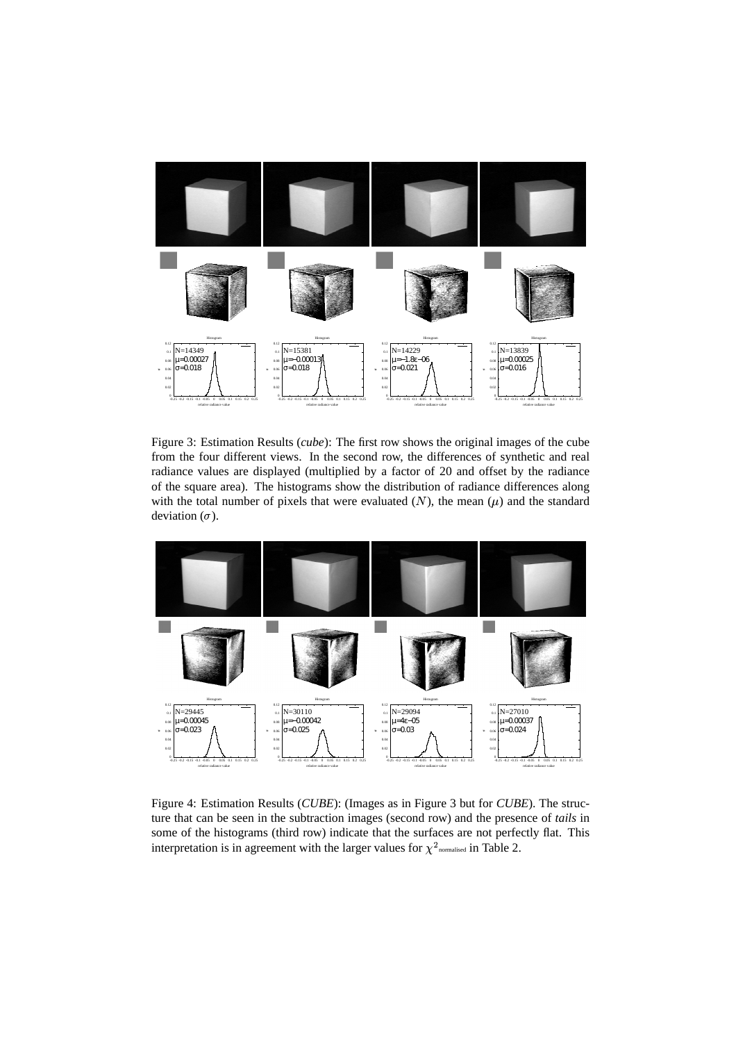

Figure 3: Estimation Results (*cube*): The first row shows the original images of the cube from the four different views. In the second row, the differences of synthetic and real radiance values are displayed (multiplied by a factor of 20 and offset by the radiance of the square area). The histograms show the distribution of radiance differences along with the total number of pixels that were evaluated  $(N)$ , the mean  $(\mu)$  and the standard deviation  $(\sigma)$ .



Figure 4: Estimation Results (*CUBE*): (Images as in Figure 3 but for *CUBE*). The structure that can be seen in the subtraction images (second row) and the presence of *tails* in some of the histograms (third row) indicate that the surfaces are not perfectly flat. This interpretation is in agreement with the larger values for  $\chi^2$  normalised in Table 2.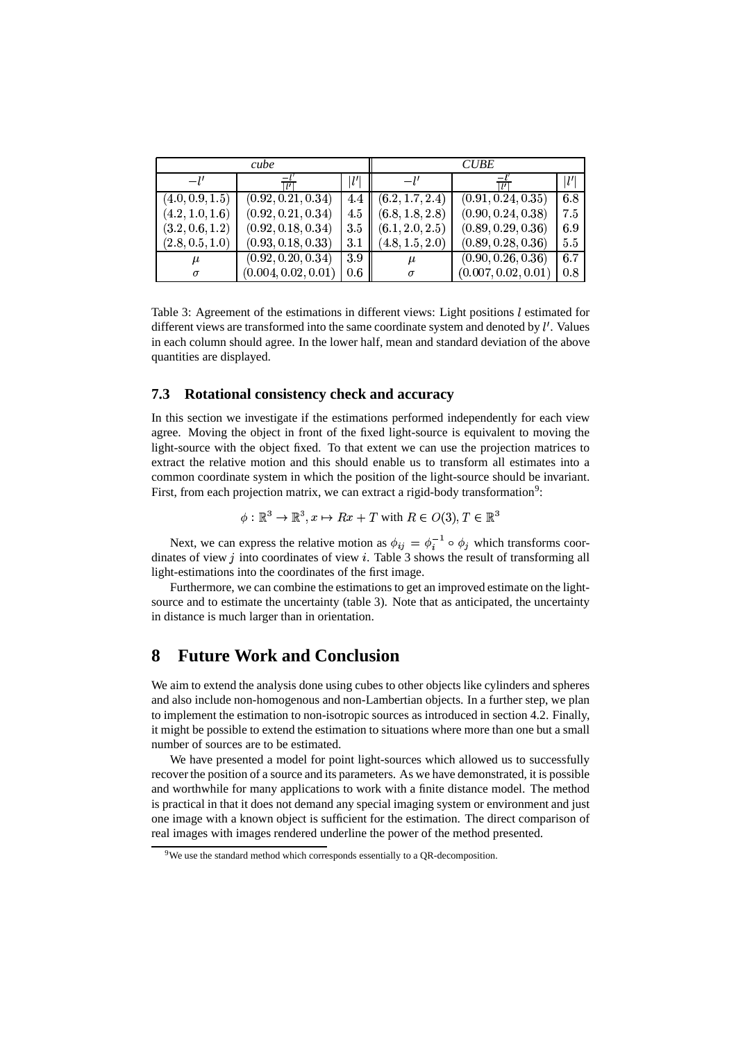| cube            |                     |              | <b>CUBE</b>     |                     |              |
|-----------------|---------------------|--------------|-----------------|---------------------|--------------|
| $-l'$           |                     | $l^{\prime}$ |                 |                     | $l^{\prime}$ |
| (4.0, 0.9, 1.5) | (0.92, 0.21, 0.34)  | 4.4          | (6.2, 1.7, 2.4) | (0.91, 0.24, 0.35)  | 6.8          |
| (4.2, 1.0, 1.6) | (0.92, 0.21, 0.34)  | 4.5          | (6.8, 1.8, 2.8) | (0.90, 0.24, 0.38)  | 7.5          |
| (3.2, 0.6, 1.2) | (0.92, 0.18, 0.34)  | 3.5          | (6.1, 2.0, 2.5) | (0.89, 0.29, 0.36)  | 6.9          |
| (2.8, 0.5, 1.0) | (0.93, 0.18, 0.33)  | 3.1          | (4.8, 1.5, 2.0) | (0.89, 0.28, 0.36)  | 5.5          |
| $\mu$           | (0.92, 0.20, 0.34)  | $3.9\,$      | $\mu$           | (0.90, 0.26, 0.36)  | 6.7          |
| $\sigma$        | (0.004, 0.02, 0.01) | $0.6\,$      | $\sigma$        | (0.007, 0.02, 0.01) | 0.8          |

Table 3: Agreement of the estimations in different views: Light positions  $l$  estimated for different views are transformed into the same coordinate system and denoted by  $l'$ . Values in each column should agree. In the lower half, mean and standard deviation of the above quantities are displayed.

#### **7.3 Rotational consistency check and accuracy**

In this section we investigate if the estimations performed independently for each view agree. Moving the object in front of the fixed light-source is equivalent to moving the light-source with the object fixed. To that extent we can use the projection matrices to extract the relative motion and this should enable us to transform all estimates into a common coordinate system in which the position of the light-source should be invariant. First, from each projection matrix, we can extract a rigid-body transformation<sup>9</sup>:

$$
\phi: \mathbb{R}^3 \to \mathbb{R}^3, x \mapsto Rx + T \text{ with } R \in O(3), T \in \mathbb{R}^3
$$

Next, we can express the relative motion as  $\phi_{ij} = \phi_i^{-1} \circ \phi_j$  which transforms coordinates of view  $j$  into coordinates of view  $i$ . Table 3 shows the result of transforming all light-estimations into the coordinates of the first image.

Furthermore, we can combine the estimations to get an improved estimate on the lightsource and to estimate the uncertainty (table 3). Note that as anticipated, the uncertainty in distance is much larger than in orientation.

# **8 Future Work and Conclusion**

We aim to extend the analysis done using cubes to other objects like cylinders and spheres and also include non-homogenous and non-Lambertian objects. In a further step, we plan to implement the estimation to non-isotropic sources as introduced in section 4.2. Finally, it might be possible to extend the estimation to situations where more than one but a small number of sources are to be estimated.

We have presented a model for point light-sources which allowed us to successfully recoverthe position of a source and its parameters. As we have demonstrated, it is possible and worthwhile for many applications to work with a finite distance model. The method is practical in that it does not demand any special imaging system or environment and just one image with a known object is sufficient for the estimation. The direct comparison of real images with images rendered underline the power of the method presented.

<sup>&</sup>lt;sup>9</sup>We use the standard method which corresponds essentially to a QR-decomposition.